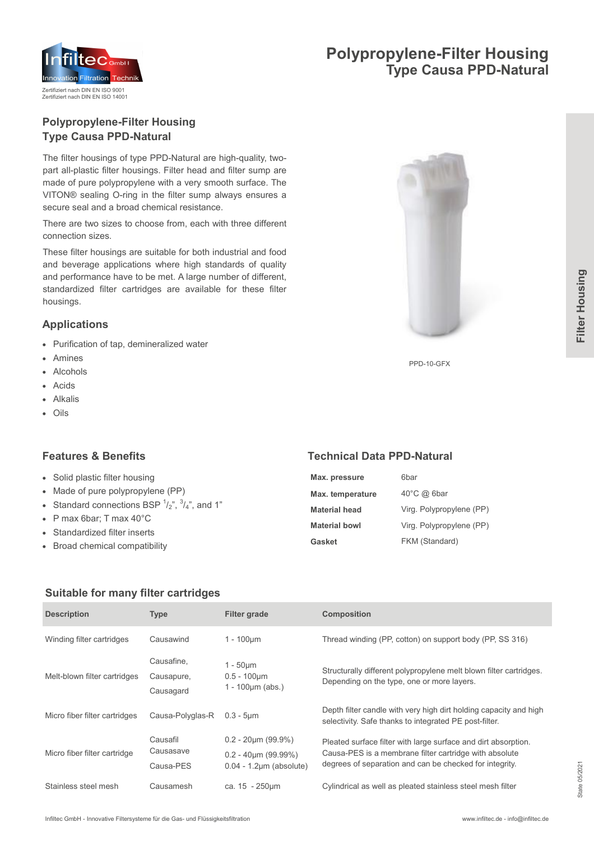

# **Polypropylene-Filter Housing Type Causa PPD-Natural**

# **Polypropylene-Filter Housing Type Causa PPD-Natural**

The filter housings of type PPD-Natural are high-quality, twopart all-plastic filter housings. Filter head and filter sump are made of pure polypropylene with a very smooth surface. The VITON® sealing O-ring in the filter sump always ensures a secure seal and a broad chemical resistance.

There are two sizes to choose from, each with three different connection sizes.

These filter housings are suitable for both industrial and food and beverage applications where high standards of quality and performance have to be met. A large number of different, standardized filter cartridges are available for these filter housings.

### **Applications**

- Purification of tap, demineralized water
- Amines
- Alcohols
- Acids
- Alkalis
- 

PPD-10-GFX

# **Features & Benefits**

- Solid plastic filter housing
- Made of pure polypropylene (PP)
- Standard connections BSP  $\frac{1}{2}$ ,  $\frac{3}{4}$ , and 1"
- P max 6bar; T max 40°C
- Standardized filter inserts
- Broad chemical compatibility

## **Technical Data PPD-Natural**

| Max. pressure        | 6bar                     |
|----------------------|--------------------------|
| Max. temperature     | $40^{\circ}$ C @ 6bar    |
| Material head        | Virg. Polypropylene (PP) |
| <b>Material bowl</b> | Virg. Polypropylene (PP) |
| Gasket               | FKM (Standard)           |

#### **Suitable for many filter cartridges**

| <b>Description</b>            | <b>Type</b>                           | Filter grade                                                                             | <b>Composition</b>                                                                                                                                                                  |
|-------------------------------|---------------------------------------|------------------------------------------------------------------------------------------|-------------------------------------------------------------------------------------------------------------------------------------------------------------------------------------|
| Winding filter cartridges     | Causawind                             | $1 - 100 \mu m$                                                                          | Thread winding (PP, cotton) on support body (PP, SS 316)                                                                                                                            |
| Melt-blown filter cartridges  | Causafine,<br>Causapure,<br>Causagard | $1 - 50 \mu m$<br>$0.5 - 100 \mu m$<br>$1 - 100 \mu m$ (abs.)                            | Structurally different polypropylene melt blown filter cartridges.<br>Depending on the type, one or more layers.                                                                    |
| Micro fiber filter cartridges | Causa-Polyglas-R                      | $0.3 - 5 \mu m$                                                                          | Depth filter candle with very high dirt holding capacity and high<br>selectivity. Safe thanks to integrated PE post-filter.                                                         |
| Micro fiber filter cartridge  | Causafil<br>Causasave<br>Causa-PES    | $0.2 - 20 \mu m (99.9\%)$<br>$0.2 - 40 \mu m (99.99\%)$<br>$0.04 - 1.2 \mu m$ (absolute) | Pleated surface filter with large surface and dirt absorption.<br>Causa-PES is a membrane filter cartridge with absolute<br>degrees of separation and can be checked for integrity. |
| Stainless steel mesh          | Causamesh                             | ca. $15 - 250 \mu m$                                                                     | Cylindrical as well as pleated stainless steel mesh filter                                                                                                                          |

State 05/202